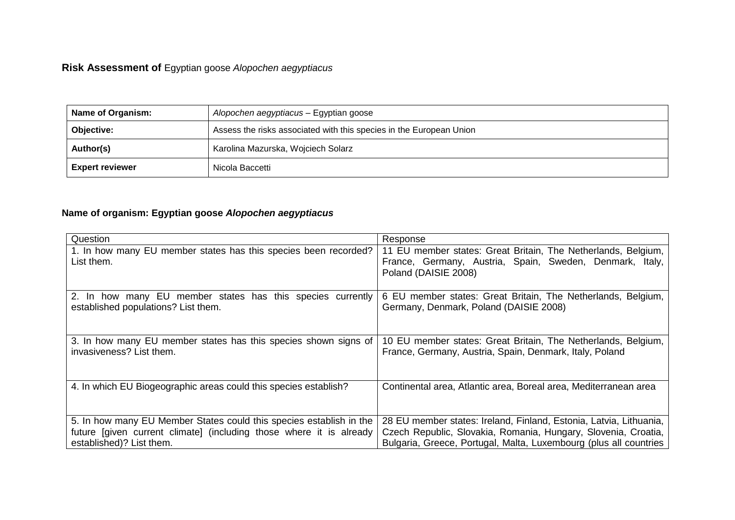# **Risk Assessment of** Egyptian goose *Alopochen aegyptiacus*

| Name of Organism:      | Alopochen aegyptiacus - Egyptian goose                              |  |
|------------------------|---------------------------------------------------------------------|--|
| Objective:             | Assess the risks associated with this species in the European Union |  |
| Author(s)              | Karolina Mazurska, Wojciech Solarz                                  |  |
| <b>Expert reviewer</b> | Nicola Baccetti                                                     |  |

# **Name of organism: Egyptian goose** *Alopochen aegyptiacus*

| Question                                                            | Response                                                           |
|---------------------------------------------------------------------|--------------------------------------------------------------------|
| 1. In how many EU member states has this species been recorded?     | 11 EU member states: Great Britain, The Netherlands, Belgium,      |
| List them.                                                          | France, Germany, Austria, Spain, Sweden, Denmark, Italy,           |
|                                                                     | Poland (DAISIE 2008)                                               |
| 2. In how many EU member states has this species currently          | 6 EU member states: Great Britain, The Netherlands, Belgium,       |
| established populations? List them.                                 | Germany, Denmark, Poland (DAISIE 2008)                             |
|                                                                     |                                                                    |
| 3. In how many EU member states has this species shown signs of     | 10 EU member states: Great Britain, The Netherlands, Belgium,      |
| invasiveness? List them.                                            | France, Germany, Austria, Spain, Denmark, Italy, Poland            |
|                                                                     |                                                                    |
| 4. In which EU Biogeographic areas could this species establish?    | Continental area, Atlantic area, Boreal area, Mediterranean area   |
|                                                                     |                                                                    |
|                                                                     |                                                                    |
| 5. In how many EU Member States could this species establish in the | 28 EU member states: Ireland, Finland, Estonia, Latvia, Lithuania, |
| future [given current climate] (including those where it is already | Czech Republic, Slovakia, Romania, Hungary, Slovenia, Croatia,     |
| established)? List them.                                            | Bulgaria, Greece, Portugal, Malta, Luxembourg (plus all countries  |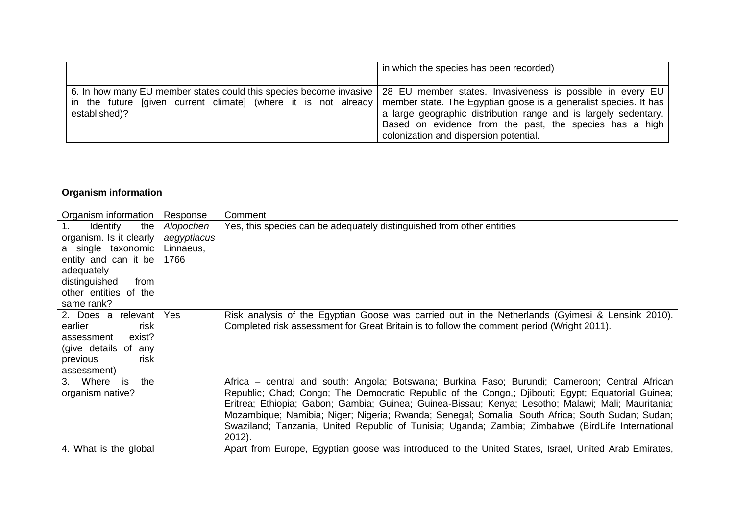|                                                                                                                                 | in which the species has been recorded)                         |
|---------------------------------------------------------------------------------------------------------------------------------|-----------------------------------------------------------------|
| 6. In how many EU member states could this species become invasive   28 EU member states. Invasiveness is possible in every EU  | a large geographic distribution range and is largely sedentary. |
| in the future [given current climate] (where it is not already member state. The Egyptian goose is a generalist species. It has | Based on evidence from the past, the species has a high         |
| established)?                                                                                                                   | colonization and dispersion potential.                          |

# **Organism information**

| Organism information    | Response    | Comment                                                                                              |
|-------------------------|-------------|------------------------------------------------------------------------------------------------------|
| the<br>Identify         | Alopochen   | Yes, this species can be adequately distinguished from other entities                                |
| organism. Is it clearly | aegyptiacus |                                                                                                      |
| a single taxonomic      | Linnaeus,   |                                                                                                      |
| entity and can it be    | 1766        |                                                                                                      |
| adequately              |             |                                                                                                      |
| distinguished<br>from   |             |                                                                                                      |
| other entities of the   |             |                                                                                                      |
| same rank?              |             |                                                                                                      |
| 2. Does a relevant      | Yes         | Risk analysis of the Egyptian Goose was carried out in the Netherlands (Gyimesi & Lensink 2010).     |
| risk<br>earlier         |             | Completed risk assessment for Great Britain is to follow the comment period (Wright 2011).           |
| exist?<br>assessment    |             |                                                                                                      |
| (give details of any    |             |                                                                                                      |
| risk<br>previous        |             |                                                                                                      |
| assessment)             |             |                                                                                                      |
| 3. Where<br>the<br>is   |             | Africa – central and south: Angola; Botswana; Burkina Faso; Burundi; Cameroon; Central African       |
| organism native?        |             | Republic; Chad; Congo; The Democratic Republic of the Congo,; Djibouti; Egypt; Equatorial Guinea;    |
|                         |             | Eritrea; Ethiopia; Gabon; Gambia; Guinea; Guinea-Bissau; Kenya; Lesotho; Malawi; Mali; Mauritania;   |
|                         |             | Mozambique; Namibia; Niger; Nigeria; Rwanda; Senegal; Somalia; South Africa; South Sudan; Sudan;     |
|                         |             | Swaziland; Tanzania, United Republic of Tunisia; Uganda; Zambia; Zimbabwe (BirdLife International    |
|                         |             | $2012$ ).                                                                                            |
| 4. What is the global   |             | Apart from Europe, Egyptian goose was introduced to the United States, Israel, United Arab Emirates, |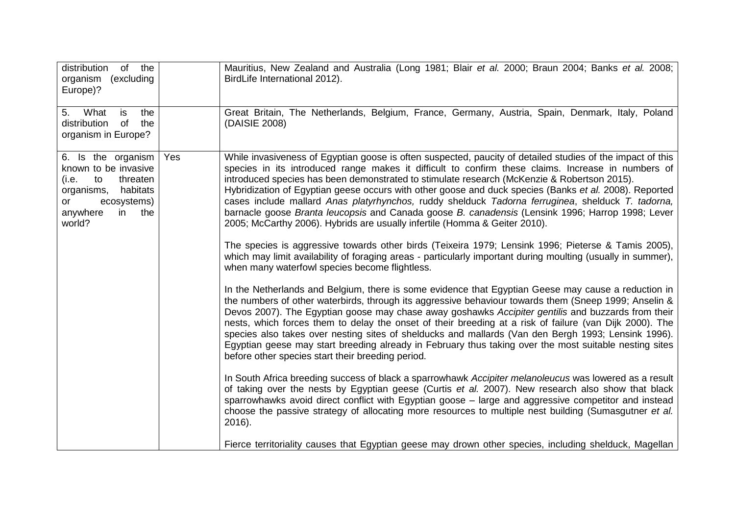| distribution<br>of the<br>organism (excluding<br>Europe)?                                                                                            |     | Mauritius, New Zealand and Australia (Long 1981; Blair et al. 2000; Braun 2004; Banks et al. 2008;<br>BirdLife International 2012).                                                                                                                                                                                                                                                                                                                                                                                                                                                                                                                                                                                                                                                                                                                                                                                                                                                                                                                                                                                                                                                                                                                                                                                                                                                                                                                                                                                                                                                                                                                                                                                                                                                                                                                                                                              |
|------------------------------------------------------------------------------------------------------------------------------------------------------|-----|------------------------------------------------------------------------------------------------------------------------------------------------------------------------------------------------------------------------------------------------------------------------------------------------------------------------------------------------------------------------------------------------------------------------------------------------------------------------------------------------------------------------------------------------------------------------------------------------------------------------------------------------------------------------------------------------------------------------------------------------------------------------------------------------------------------------------------------------------------------------------------------------------------------------------------------------------------------------------------------------------------------------------------------------------------------------------------------------------------------------------------------------------------------------------------------------------------------------------------------------------------------------------------------------------------------------------------------------------------------------------------------------------------------------------------------------------------------------------------------------------------------------------------------------------------------------------------------------------------------------------------------------------------------------------------------------------------------------------------------------------------------------------------------------------------------------------------------------------------------------------------------------------------------|
| What<br>the<br>5.<br>is<br>of<br>distribution<br>the<br>organism in Europe?                                                                          |     | Great Britain, The Netherlands, Belgium, France, Germany, Austria, Spain, Denmark, Italy, Poland<br>(DAISIE 2008)                                                                                                                                                                                                                                                                                                                                                                                                                                                                                                                                                                                                                                                                                                                                                                                                                                                                                                                                                                                                                                                                                                                                                                                                                                                                                                                                                                                                                                                                                                                                                                                                                                                                                                                                                                                                |
| 6. Is the organism<br>known to be invasive<br>(i.e.<br>to<br>threaten<br>habitats<br>organisms,<br>ecosystems)<br>or<br>anywhere<br>in the<br>world? | Yes | While invasiveness of Egyptian goose is often suspected, paucity of detailed studies of the impact of this<br>species in its introduced range makes it difficult to confirm these claims. Increase in numbers of<br>introduced species has been demonstrated to stimulate research (McKenzie & Robertson 2015).<br>Hybridization of Egyptian geese occurs with other goose and duck species (Banks et al. 2008). Reported<br>cases include mallard Anas platyrhynchos, ruddy shelduck Tadorna ferruginea, shelduck T. tadorna,<br>barnacle goose Branta leucopsis and Canada goose B. canadensis (Lensink 1996; Harrop 1998; Lever<br>2005; McCarthy 2006). Hybrids are usually infertile (Homma & Geiter 2010).<br>The species is aggressive towards other birds (Teixeira 1979; Lensink 1996; Pieterse & Tamis 2005),<br>which may limit availability of foraging areas - particularly important during moulting (usually in summer),<br>when many waterfowl species become flightless.<br>In the Netherlands and Belgium, there is some evidence that Egyptian Geese may cause a reduction in<br>the numbers of other waterbirds, through its aggressive behaviour towards them (Sneep 1999; Anselin &<br>Devos 2007). The Egyptian goose may chase away goshawks Accipiter gentilis and buzzards from their<br>nests, which forces them to delay the onset of their breeding at a risk of failure (van Dijk 2000). The<br>species also takes over nesting sites of shelducks and mallards (Van den Bergh 1993; Lensink 1996).<br>Egyptian geese may start breeding already in February thus taking over the most suitable nesting sites<br>before other species start their breeding period.<br>In South Africa breeding success of black a sparrowhawk Accipiter melanoleucus was lowered as a result<br>of taking over the nests by Egyptian geese (Curtis et al. 2007). New research also show that black |
|                                                                                                                                                      |     | sparrowhawks avoid direct conflict with Egyptian goose - large and aggressive competitor and instead<br>choose the passive strategy of allocating more resources to multiple nest building (Sumasgutner et al.<br>2016).<br>Fierce territoriality causes that Egyptian geese may drown other species, including shelduck, Magellan                                                                                                                                                                                                                                                                                                                                                                                                                                                                                                                                                                                                                                                                                                                                                                                                                                                                                                                                                                                                                                                                                                                                                                                                                                                                                                                                                                                                                                                                                                                                                                               |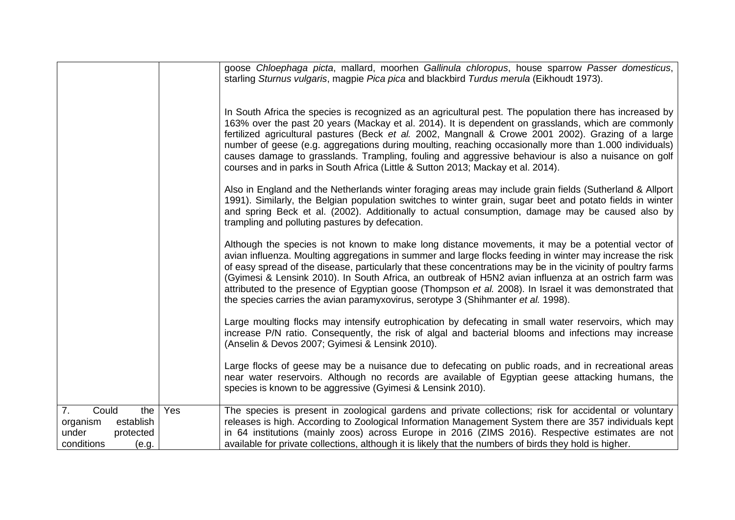|                                  |     | goose Chloephaga picta, mallard, moorhen Gallinula chloropus, house sparrow Passer domesticus,                                                                                                                   |
|----------------------------------|-----|------------------------------------------------------------------------------------------------------------------------------------------------------------------------------------------------------------------|
|                                  |     | starling Sturnus vulgaris, magpie Pica pica and blackbird Turdus merula (Eikhoudt 1973).                                                                                                                         |
|                                  |     |                                                                                                                                                                                                                  |
|                                  |     |                                                                                                                                                                                                                  |
|                                  |     | In South Africa the species is recognized as an agricultural pest. The population there has increased by                                                                                                         |
|                                  |     | 163% over the past 20 years (Mackay et al. 2014). It is dependent on grasslands, which are commonly<br>fertilized agricultural pastures (Beck et al. 2002, Mangnall & Crowe 2001 2002). Grazing of a large       |
|                                  |     | number of geese (e.g. aggregations during moulting, reaching occasionally more than 1.000 individuals)                                                                                                           |
|                                  |     | causes damage to grasslands. Trampling, fouling and aggressive behaviour is also a nuisance on golf                                                                                                              |
|                                  |     | courses and in parks in South Africa (Little & Sutton 2013; Mackay et al. 2014).                                                                                                                                 |
|                                  |     | Also in England and the Netherlands winter foraging areas may include grain fields (Sutherland & Allport                                                                                                         |
|                                  |     | 1991). Similarly, the Belgian population switches to winter grain, sugar beet and potato fields in winter                                                                                                        |
|                                  |     | and spring Beck et al. (2002). Additionally to actual consumption, damage may be caused also by                                                                                                                  |
|                                  |     | trampling and polluting pastures by defecation.                                                                                                                                                                  |
|                                  |     | Although the species is not known to make long distance movements, it may be a potential vector of                                                                                                               |
|                                  |     | avian influenza. Moulting aggregations in summer and large flocks feeding in winter may increase the risk                                                                                                        |
|                                  |     | of easy spread of the disease, particularly that these concentrations may be in the vicinity of poultry farms                                                                                                    |
|                                  |     | (Gyimesi & Lensink 2010). In South Africa, an outbreak of H5N2 avian influenza at an ostrich farm was<br>attributed to the presence of Egyptian goose (Thompson et al. 2008). In Israel it was demonstrated that |
|                                  |     | the species carries the avian paramyxovirus, serotype 3 (Shihmanter et al. 1998).                                                                                                                                |
|                                  |     |                                                                                                                                                                                                                  |
|                                  |     | Large moulting flocks may intensify eutrophication by defecating in small water reservoirs, which may                                                                                                            |
|                                  |     | increase P/N ratio. Consequently, the risk of algal and bacterial blooms and infections may increase<br>(Anselin & Devos 2007; Gyimesi & Lensink 2010).                                                          |
|                                  |     |                                                                                                                                                                                                                  |
|                                  |     | Large flocks of geese may be a nuisance due to defecating on public roads, and in recreational areas                                                                                                             |
|                                  |     | near water reservoirs. Although no records are available of Egyptian geese attacking humans, the<br>species is known to be aggressive (Gyimesi & Lensink 2010).                                                  |
|                                  |     |                                                                                                                                                                                                                  |
| Could<br>7.<br>the               | Yes | The species is present in zoological gardens and private collections; risk for accidental or voluntary                                                                                                           |
| organism<br>establish            |     | releases is high. According to Zoological Information Management System there are 357 individuals kept                                                                                                           |
| under<br>protected<br>conditions |     | in 64 institutions (mainly zoos) across Europe in 2016 (ZIMS 2016). Respective estimates are not<br>available for private collections, although it is likely that the numbers of birds they hold is higher.      |
| (e.g.                            |     |                                                                                                                                                                                                                  |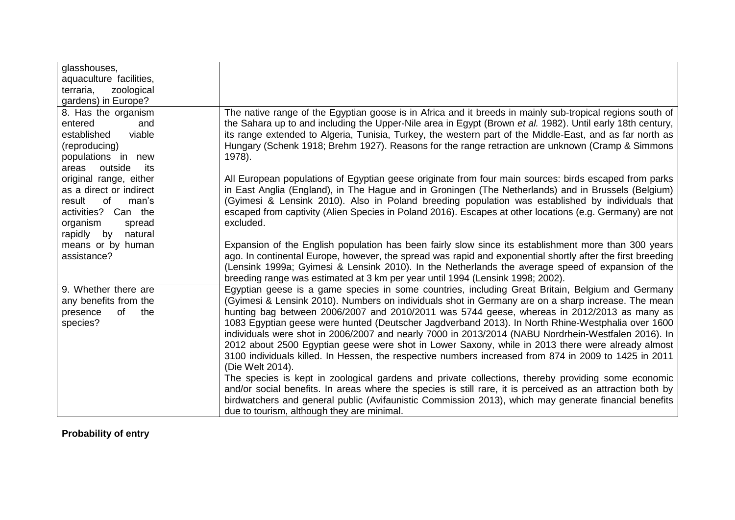| glasshouses,             |                                                                                                                                                                                    |
|--------------------------|------------------------------------------------------------------------------------------------------------------------------------------------------------------------------------|
| aquaculture facilities,  |                                                                                                                                                                                    |
| terraria,<br>zoological  |                                                                                                                                                                                    |
| gardens) in Europe?      |                                                                                                                                                                                    |
| 8. Has the organism      | The native range of the Egyptian goose is in Africa and it breeds in mainly sub-tropical regions south of                                                                          |
| entered<br>and           | the Sahara up to and including the Upper-Nile area in Egypt (Brown et al. 1982). Until early 18th century,                                                                         |
| established<br>viable    | its range extended to Algeria, Tunisia, Turkey, the western part of the Middle-East, and as far north as                                                                           |
| (reproducing)            | Hungary (Schenk 1918; Brehm 1927). Reasons for the range retraction are unknown (Cramp & Simmons                                                                                   |
| populations in new       | 1978).                                                                                                                                                                             |
| outside<br>areas<br>its  |                                                                                                                                                                                    |
| original range, either   | All European populations of Egyptian geese originate from four main sources: birds escaped from parks                                                                              |
| as a direct or indirect  | in East Anglia (England), in The Hague and in Groningen (The Netherlands) and in Brussels (Belgium)                                                                                |
| of<br>result<br>man's    | (Gyimesi & Lensink 2010). Also in Poland breeding population was established by individuals that                                                                                   |
| activities? Can the      | escaped from captivity (Alien Species in Poland 2016). Escapes at other locations (e.g. Germany) are not                                                                           |
| organism<br>spread       | excluded.                                                                                                                                                                          |
| rapidly<br>natural<br>by |                                                                                                                                                                                    |
| means or by human        | Expansion of the English population has been fairly slow since its establishment more than 300 years                                                                               |
| assistance?              | ago. In continental Europe, however, the spread was rapid and exponential shortly after the first breeding                                                                         |
|                          | (Lensink 1999a; Gyimesi & Lensink 2010). In the Netherlands the average speed of expansion of the                                                                                  |
| 9. Whether there are     | breeding range was estimated at 3 km per year until 1994 (Lensink 1998; 2002).<br>Egyptian geese is a game species in some countries, including Great Britain, Belgium and Germany |
| any benefits from the    | (Gyimesi & Lensink 2010). Numbers on individuals shot in Germany are on a sharp increase. The mean                                                                                 |
| presence<br>of<br>the    | hunting bag between 2006/2007 and 2010/2011 was 5744 geese, whereas in 2012/2013 as many as                                                                                        |
| species?                 | 1083 Egyptian geese were hunted (Deutscher Jagdverband 2013). In North Rhine-Westphalia over 1600                                                                                  |
|                          | individuals were shot in 2006/2007 and nearly 7000 in 2013/2014 (NABU Nordrhein-Westfalen 2016). In                                                                                |
|                          | 2012 about 2500 Egyptian geese were shot in Lower Saxony, while in 2013 there were already almost                                                                                  |
|                          | 3100 individuals killed. In Hessen, the respective numbers increased from 874 in 2009 to 1425 in 2011                                                                              |
|                          | (Die Welt 2014).                                                                                                                                                                   |
|                          | The species is kept in zoological gardens and private collections, thereby providing some economic                                                                                 |
|                          | and/or social benefits. In areas where the species is still rare, it is perceived as an attraction both by                                                                         |
|                          | birdwatchers and general public (Avifaunistic Commission 2013), which may generate financial benefits                                                                              |
|                          | due to tourism, although they are minimal.                                                                                                                                         |

# **Probability of entry**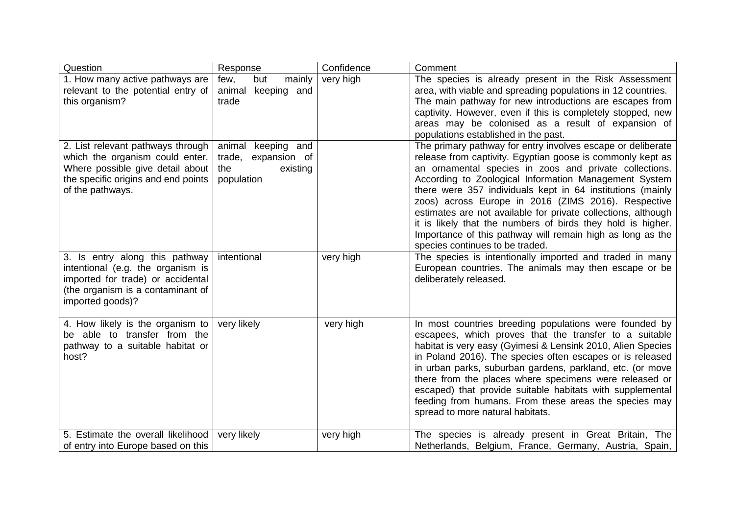| Question                                                                                                                                                            | Response                                                                   | Confidence | Comment                                                                                                                                                                                                                                                                                                                                                                                                                                                                                                                                                                                            |
|---------------------------------------------------------------------------------------------------------------------------------------------------------------------|----------------------------------------------------------------------------|------------|----------------------------------------------------------------------------------------------------------------------------------------------------------------------------------------------------------------------------------------------------------------------------------------------------------------------------------------------------------------------------------------------------------------------------------------------------------------------------------------------------------------------------------------------------------------------------------------------------|
| 1. How many active pathways are<br>relevant to the potential entry of<br>this organism?                                                                             | but<br>mainly<br>few,<br>keeping and<br>animal<br>trade                    | very high  | The species is already present in the Risk Assessment<br>area, with viable and spreading populations in 12 countries.<br>The main pathway for new introductions are escapes from<br>captivity. However, even if this is completely stopped, new<br>areas may be colonised as a result of expansion of<br>populations established in the past.                                                                                                                                                                                                                                                      |
| 2. List relevant pathways through<br>which the organism could enter.<br>Where possible give detail about<br>the specific origins and end points<br>of the pathways. | animal keeping and<br>trade, expansion of<br>existing<br>the<br>population |            | The primary pathway for entry involves escape or deliberate<br>release from captivity. Egyptian goose is commonly kept as<br>an ornamental species in zoos and private collections.<br>According to Zoological Information Management System<br>there were 357 individuals kept in 64 institutions (mainly<br>zoos) across Europe in 2016 (ZIMS 2016). Respective<br>estimates are not available for private collections, although<br>it is likely that the numbers of birds they hold is higher.<br>Importance of this pathway will remain high as long as the<br>species continues to be traded. |
| 3. Is entry along this pathway<br>intentional (e.g. the organism is<br>imported for trade) or accidental<br>(the organism is a contaminant of<br>imported goods)?   | intentional                                                                | very high  | The species is intentionally imported and traded in many<br>European countries. The animals may then escape or be<br>deliberately released.                                                                                                                                                                                                                                                                                                                                                                                                                                                        |
| 4. How likely is the organism to<br>be able to transfer from the<br>pathway to a suitable habitat or<br>host?                                                       | very likely                                                                | very high  | In most countries breeding populations were founded by<br>escapees, which proves that the transfer to a suitable<br>habitat is very easy (Gyimesi & Lensink 2010, Alien Species<br>in Poland 2016). The species often escapes or is released<br>in urban parks, suburban gardens, parkland, etc. (or move<br>there from the places where specimens were released or<br>escaped) that provide suitable habitats with supplemental<br>feeding from humans. From these areas the species may<br>spread to more natural habitats.                                                                      |
| 5. Estimate the overall likelihood<br>of entry into Europe based on this                                                                                            | very likely                                                                | very high  | The species is already present in Great Britain, The<br>Netherlands, Belgium, France, Germany, Austria, Spain,                                                                                                                                                                                                                                                                                                                                                                                                                                                                                     |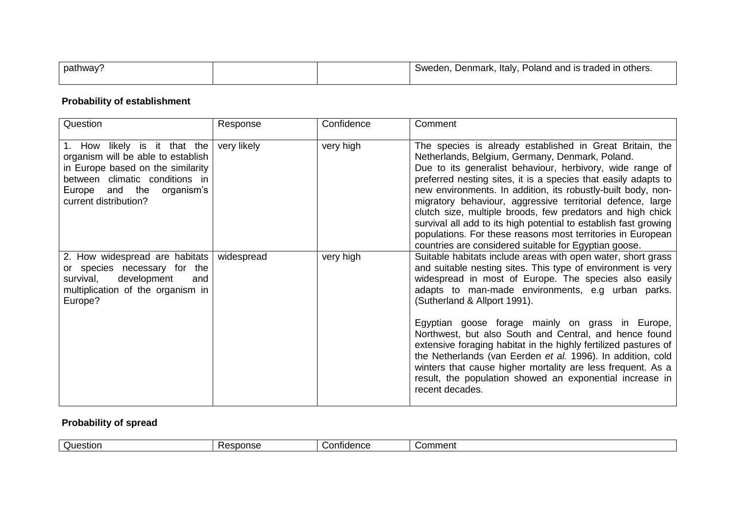| pathway |  | : Poland and is traded in others.<br>ltalv.<br>Denmark,<br>Sweden. |
|---------|--|--------------------------------------------------------------------|
|         |  |                                                                    |

#### **Probability of establishment**

| Question                                                                                                                                                                                        | Response    | Confidence | Comment                                                                                                                                                                                                                                                                                                                                                                                                                                                                                                                                                                                                                            |
|-------------------------------------------------------------------------------------------------------------------------------------------------------------------------------------------------|-------------|------------|------------------------------------------------------------------------------------------------------------------------------------------------------------------------------------------------------------------------------------------------------------------------------------------------------------------------------------------------------------------------------------------------------------------------------------------------------------------------------------------------------------------------------------------------------------------------------------------------------------------------------------|
| 1. How likely is it that the<br>organism will be able to establish<br>in Europe based on the similarity<br>between climatic conditions in<br>Europe and the organism's<br>current distribution? | very likely | very high  | The species is already established in Great Britain, the<br>Netherlands, Belgium, Germany, Denmark, Poland.<br>Due to its generalist behaviour, herbivory, wide range of<br>preferred nesting sites, it is a species that easily adapts to<br>new environments. In addition, its robustly-built body, non-<br>migratory behaviour, aggressive territorial defence, large<br>clutch size, multiple broods, few predators and high chick<br>survival all add to its high potential to establish fast growing<br>populations. For these reasons most territories in European<br>countries are considered suitable for Egyptian goose. |
| 2. How widespread are habitats widespread<br>or species necessary for the<br>development<br>survival,<br>and<br>multiplication of the organism in<br>Europe?                                    |             | very high  | Suitable habitats include areas with open water, short grass<br>and suitable nesting sites. This type of environment is very<br>widespread in most of Europe. The species also easily<br>adapts to man-made environments, e.g urban parks.<br>(Sutherland & Allport 1991).                                                                                                                                                                                                                                                                                                                                                         |
|                                                                                                                                                                                                 |             |            | Egyptian goose forage mainly on grass in Europe,<br>Northwest, but also South and Central, and hence found<br>extensive foraging habitat in the highly fertilized pastures of<br>the Netherlands (van Eerden et al. 1996). In addition, cold<br>winters that cause higher mortality are less frequent. As a<br>result, the population showed an exponential increase in<br>recent decades.                                                                                                                                                                                                                                         |

# **Probability of spread**

| -<br>Question<br>sponse | onfidence<br>いい | - -<br>Comment |
|-------------------------|-----------------|----------------|
|-------------------------|-----------------|----------------|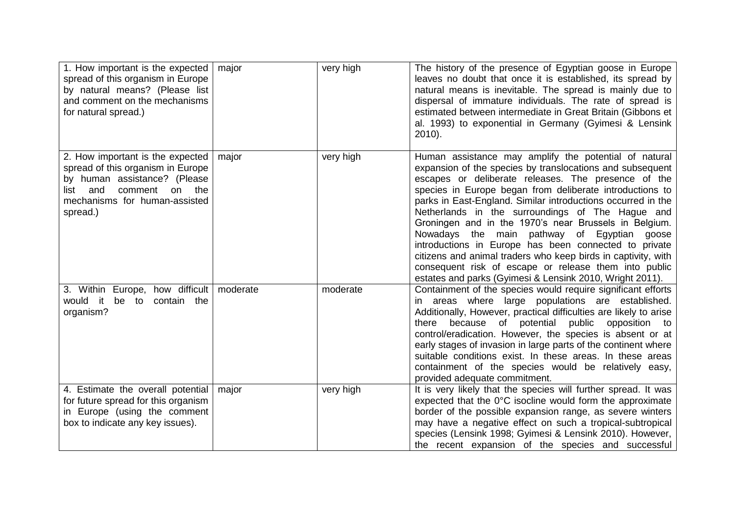| 1. How important is the expected   major<br>spread of this organism in Europe<br>by natural means? (Please list<br>and comment on the mechanisms<br>for natural spread.)            |       | very high | The history of the presence of Egyptian goose in Europe<br>leaves no doubt that once it is established, its spread by<br>natural means is inevitable. The spread is mainly due to<br>dispersal of immature individuals. The rate of spread is<br>estimated between intermediate in Great Britain (Gibbons et<br>al. 1993) to exponential in Germany (Gyimesi & Lensink<br>2010).                                                                                                                                                                                                                                                                                                                                    |
|-------------------------------------------------------------------------------------------------------------------------------------------------------------------------------------|-------|-----------|---------------------------------------------------------------------------------------------------------------------------------------------------------------------------------------------------------------------------------------------------------------------------------------------------------------------------------------------------------------------------------------------------------------------------------------------------------------------------------------------------------------------------------------------------------------------------------------------------------------------------------------------------------------------------------------------------------------------|
| 2. How important is the expected<br>spread of this organism in Europe<br>by human assistance? (Please<br>comment on the<br>and<br>list<br>mechanisms for human-assisted<br>spread.) | major | very high | Human assistance may amplify the potential of natural<br>expansion of the species by translocations and subsequent<br>escapes or deliberate releases. The presence of the<br>species in Europe began from deliberate introductions to<br>parks in East-England. Similar introductions occurred in the<br>Netherlands in the surroundings of The Hague and<br>Groningen and in the 1970's near Brussels in Belgium.<br>Nowadays the main pathway of Egyptian<br>goose<br>introductions in Europe has been connected to private<br>citizens and animal traders who keep birds in captivity, with<br>consequent risk of escape or release them into public<br>estates and parks (Gyimesi & Lensink 2010, Wright 2011). |
| 3. Within Europe, how difficult   moderate<br>would it<br>be<br>to<br>contain the<br>organism?                                                                                      |       | moderate  | Containment of the species would require significant efforts<br>in areas where large populations are established.<br>Additionally, However, practical difficulties are likely to arise<br>because of potential<br>public<br>opposition<br>there<br>to<br>control/eradication. However, the species is absent or at<br>early stages of invasion in large parts of the continent where<br>suitable conditions exist. In these areas. In these areas<br>containment of the species would be relatively easy,<br>provided adequate commitment.                                                                                                                                                                          |
| 4. Estimate the overall potential<br>for future spread for this organism<br>in Europe (using the comment<br>box to indicate any key issues).                                        | major | very high | It is very likely that the species will further spread. It was<br>expected that the $0^{\circ}$ C isocline would form the approximate<br>border of the possible expansion range, as severe winters<br>may have a negative effect on such a tropical-subtropical<br>species (Lensink 1998; Gyimesi & Lensink 2010). However,<br>the recent expansion of the species and successful                                                                                                                                                                                                                                                                                                                                   |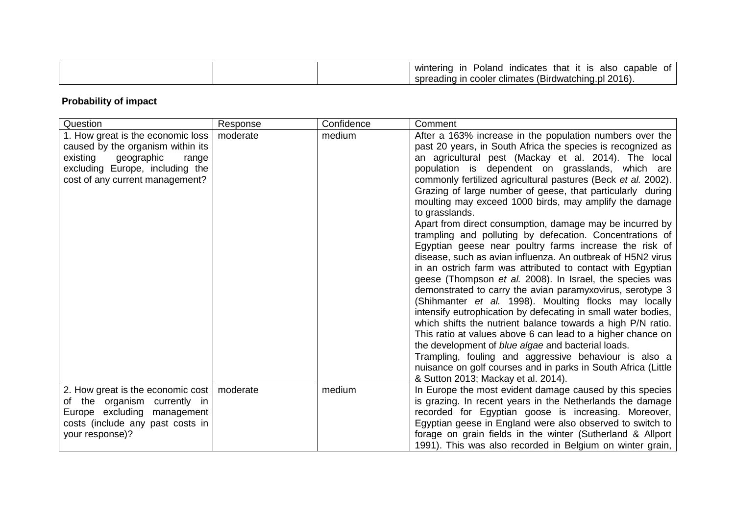| that<br>capable<br>winterinc<br>Poland.<br>alsc<br><i>v</i> ndicates<br>Οt<br>ın<br>ıs                              |
|---------------------------------------------------------------------------------------------------------------------|
| $\overline{\phantom{0}}$<br>2016).<br><b>Jo (Birdwatchin^</b><br>spro<br>or climates "<br>cooler<br>nı<br>…Jadinu … |

# **Probability of impact**

| Question                                                                                                                                                                        | Response | Confidence | Comment                                                                                                                                                                                                                                                                                                                                                                                                                                                                                                                                                                                                                                                                                                                                                                                                                                                                                                                                                                                                                                                                                                                                                                                                                                                                                                                                                               |
|---------------------------------------------------------------------------------------------------------------------------------------------------------------------------------|----------|------------|-----------------------------------------------------------------------------------------------------------------------------------------------------------------------------------------------------------------------------------------------------------------------------------------------------------------------------------------------------------------------------------------------------------------------------------------------------------------------------------------------------------------------------------------------------------------------------------------------------------------------------------------------------------------------------------------------------------------------------------------------------------------------------------------------------------------------------------------------------------------------------------------------------------------------------------------------------------------------------------------------------------------------------------------------------------------------------------------------------------------------------------------------------------------------------------------------------------------------------------------------------------------------------------------------------------------------------------------------------------------------|
| 1. How great is the economic loss<br>caused by the organism within its<br>existing<br>geographic<br>range<br>excluding Europe, including the<br>cost of any current management? | moderate | medium     | After a 163% increase in the population numbers over the<br>past 20 years, in South Africa the species is recognized as<br>an agricultural pest (Mackay et al. 2014). The local<br>population is dependent on grasslands, which are<br>commonly fertilized agricultural pastures (Beck et al. 2002).<br>Grazing of large number of geese, that particularly during<br>moulting may exceed 1000 birds, may amplify the damage<br>to grasslands.<br>Apart from direct consumption, damage may be incurred by<br>trampling and polluting by defecation. Concentrations of<br>Egyptian geese near poultry farms increase the risk of<br>disease, such as avian influenza. An outbreak of H5N2 virus<br>in an ostrich farm was attributed to contact with Egyptian<br>geese (Thompson et al. 2008). In Israel, the species was<br>demonstrated to carry the avian paramyxovirus, serotype 3<br>(Shihmanter et al. 1998). Moulting flocks may locally<br>intensify eutrophication by defecating in small water bodies,<br>which shifts the nutrient balance towards a high P/N ratio.<br>This ratio at values above 6 can lead to a higher chance on<br>the development of blue algae and bacterial loads.<br>Trampling, fouling and aggressive behaviour is also a<br>nuisance on golf courses and in parks in South Africa (Little<br>& Sutton 2013; Mackay et al. 2014). |
| 2. How great is the economic cost   moderate<br>of the organism currently in<br>Europe excluding management<br>costs (include any past costs in<br>your response)?              |          | medium     | In Europe the most evident damage caused by this species<br>is grazing. In recent years in the Netherlands the damage<br>recorded for Egyptian goose is increasing. Moreover,<br>Egyptian geese in England were also observed to switch to<br>forage on grain fields in the winter (Sutherland & Allport<br>1991). This was also recorded in Belgium on winter grain,                                                                                                                                                                                                                                                                                                                                                                                                                                                                                                                                                                                                                                                                                                                                                                                                                                                                                                                                                                                                 |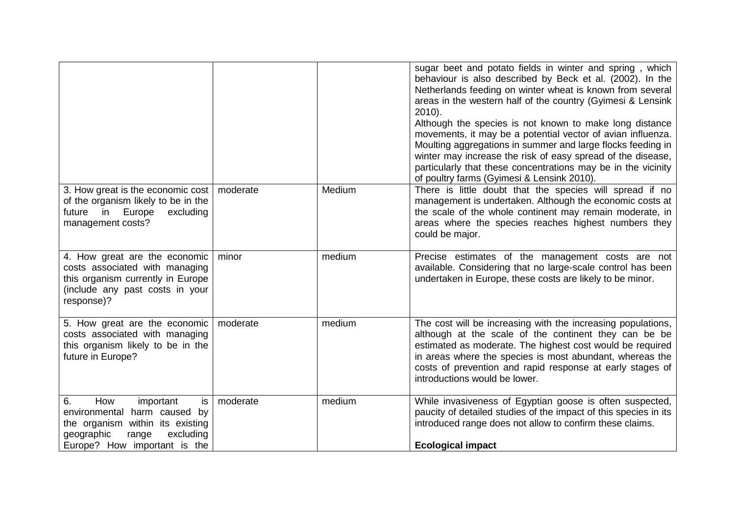|                                                                                                                                                                      |          |        | sugar beet and potato fields in winter and spring, which<br>behaviour is also described by Beck et al. (2002). In the<br>Netherlands feeding on winter wheat is known from several<br>areas in the western half of the country (Gyimesi & Lensink<br>2010).<br>Although the species is not known to make long distance<br>movements, it may be a potential vector of avian influenza.<br>Moulting aggregations in summer and large flocks feeding in<br>winter may increase the risk of easy spread of the disease,<br>particularly that these concentrations may be in the vicinity<br>of poultry farms (Gyimesi & Lensink 2010). |
|----------------------------------------------------------------------------------------------------------------------------------------------------------------------|----------|--------|------------------------------------------------------------------------------------------------------------------------------------------------------------------------------------------------------------------------------------------------------------------------------------------------------------------------------------------------------------------------------------------------------------------------------------------------------------------------------------------------------------------------------------------------------------------------------------------------------------------------------------|
| 3. How great is the economic cost   moderate<br>of the organism likely to be in the<br>in<br>Europe<br>excluding<br>future<br>management costs?                      |          | Medium | There is little doubt that the species will spread if no<br>management is undertaken. Although the economic costs at<br>the scale of the whole continent may remain moderate, in<br>areas where the species reaches highest numbers they<br>could be major.                                                                                                                                                                                                                                                                                                                                                                        |
| 4. How great are the economic<br>costs associated with managing<br>this organism currently in Europe<br>(include any past costs in your<br>response)?                | minor    | medium | Precise estimates of the management costs are not<br>available. Considering that no large-scale control has been<br>undertaken in Europe, these costs are likely to be minor.                                                                                                                                                                                                                                                                                                                                                                                                                                                      |
| 5. How great are the economic<br>costs associated with managing<br>this organism likely to be in the<br>future in Europe?                                            | moderate | medium | The cost will be increasing with the increasing populations,<br>although at the scale of the continent they can be be<br>estimated as moderate. The highest cost would be required<br>in areas where the species is most abundant, whereas the<br>costs of prevention and rapid response at early stages of<br>introductions would be lower.                                                                                                                                                                                                                                                                                       |
| How<br>6.<br>is<br>important<br>environmental harm caused by<br>the organism within its existing<br>geographic<br>range<br>excluding<br>Europe? How important is the | moderate | medium | While invasiveness of Egyptian goose is often suspected,<br>paucity of detailed studies of the impact of this species in its<br>introduced range does not allow to confirm these claims.<br><b>Ecological impact</b>                                                                                                                                                                                                                                                                                                                                                                                                               |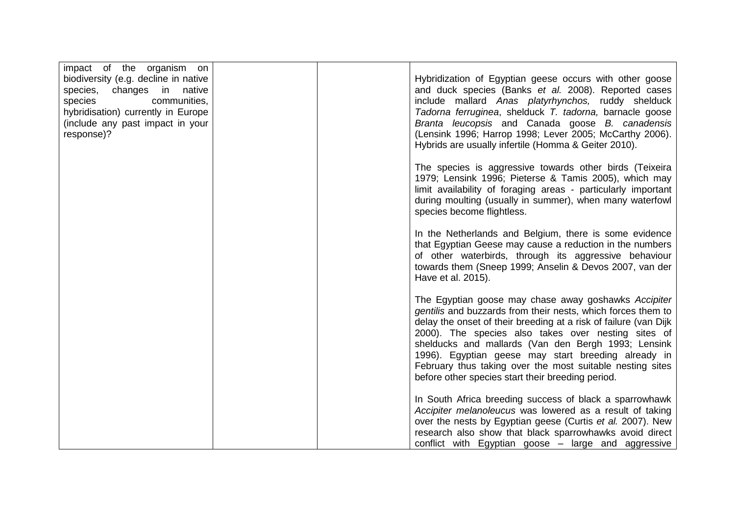| impact of the organism on                                              |  |                                                                                                                  |
|------------------------------------------------------------------------|--|------------------------------------------------------------------------------------------------------------------|
| biodiversity (e.g. decline in native                                   |  | Hybridization of Egyptian geese occurs with other goose                                                          |
| species, changes in native                                             |  | and duck species (Banks et al. 2008). Reported cases                                                             |
| species<br>communities,                                                |  | include mallard Anas platyrhynchos, ruddy shelduck                                                               |
| hybridisation) currently in Europe<br>(include any past impact in your |  | Tadorna ferruginea, shelduck T. tadorna, barnacle goose<br>Branta leucopsis and Canada goose B. canadensis       |
| response)?                                                             |  | (Lensink 1996; Harrop 1998; Lever 2005; McCarthy 2006).                                                          |
|                                                                        |  | Hybrids are usually infertile (Homma & Geiter 2010).                                                             |
|                                                                        |  | The species is aggressive towards other birds (Teixeira                                                          |
|                                                                        |  | 1979; Lensink 1996; Pieterse & Tamis 2005), which may                                                            |
|                                                                        |  | limit availability of foraging areas - particularly important                                                    |
|                                                                        |  | during moulting (usually in summer), when many waterfowl                                                         |
|                                                                        |  | species become flightless.                                                                                       |
|                                                                        |  | In the Netherlands and Belgium, there is some evidence                                                           |
|                                                                        |  | that Egyptian Geese may cause a reduction in the numbers                                                         |
|                                                                        |  | of other waterbirds, through its aggressive behaviour                                                            |
|                                                                        |  | towards them (Sneep 1999; Anselin & Devos 2007, van der                                                          |
|                                                                        |  | Have et al. 2015).                                                                                               |
|                                                                        |  | The Egyptian goose may chase away goshawks Accipiter                                                             |
|                                                                        |  | gentilis and buzzards from their nests, which forces them to                                                     |
|                                                                        |  | delay the onset of their breeding at a risk of failure (van Dijk                                                 |
|                                                                        |  | 2000). The species also takes over nesting sites of                                                              |
|                                                                        |  | shelducks and mallards (Van den Bergh 1993; Lensink                                                              |
|                                                                        |  | 1996). Egyptian geese may start breeding already in<br>February thus taking over the most suitable nesting sites |
|                                                                        |  | before other species start their breeding period.                                                                |
|                                                                        |  |                                                                                                                  |
|                                                                        |  | In South Africa breeding success of black a sparrowhawk                                                          |
|                                                                        |  | Accipiter melanoleucus was lowered as a result of taking                                                         |
|                                                                        |  | over the nests by Egyptian geese (Curtis et al. 2007). New                                                       |
|                                                                        |  | research also show that black sparrowhawks avoid direct                                                          |
|                                                                        |  | conflict with Egyptian goose - large and aggressive                                                              |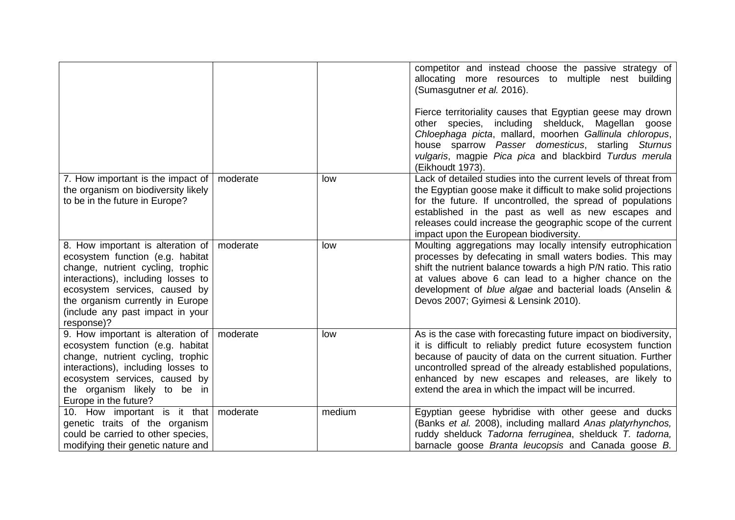|                                                                                                                                                                                                                                                                                    |          |        | competitor and instead choose the passive strategy of<br>allocating more resources to multiple nest building<br>(Sumasgutner et al. 2016).<br>Fierce territoriality causes that Egyptian geese may drown<br>other species, including shelduck, Magellan goose<br>Chloephaga picta, mallard, moorhen Gallinula chloropus,<br>house sparrow Passer domesticus, starling Sturnus<br>vulgaris, magpie Pica pica and blackbird Turdus merula<br>(Eikhoudt 1973). |
|------------------------------------------------------------------------------------------------------------------------------------------------------------------------------------------------------------------------------------------------------------------------------------|----------|--------|-------------------------------------------------------------------------------------------------------------------------------------------------------------------------------------------------------------------------------------------------------------------------------------------------------------------------------------------------------------------------------------------------------------------------------------------------------------|
| 7. How important is the impact of<br>the organism on biodiversity likely<br>to be in the future in Europe?                                                                                                                                                                         | moderate | low    | Lack of detailed studies into the current levels of threat from<br>the Egyptian goose make it difficult to make solid projections<br>for the future. If uncontrolled, the spread of populations<br>established in the past as well as new escapes and<br>releases could increase the geographic scope of the current<br>impact upon the European biodiversity.                                                                                              |
| 8. How important is alteration of   moderate<br>ecosystem function (e.g. habitat<br>change, nutrient cycling, trophic<br>interactions), including losses to<br>ecosystem services, caused by<br>the organism currently in Europe<br>(include any past impact in your<br>response)? |          | low    | Moulting aggregations may locally intensify eutrophication<br>processes by defecating in small waters bodies. This may<br>shift the nutrient balance towards a high P/N ratio. This ratio<br>at values above 6 can lead to a higher chance on the<br>development of blue algae and bacterial loads (Anselin &<br>Devos 2007; Gyimesi & Lensink 2010).                                                                                                       |
| 9. How important is alteration of $\vert$ moderate<br>ecosystem function (e.g. habitat<br>change, nutrient cycling, trophic<br>interactions), including losses to<br>ecosystem services, caused by<br>the organism likely to be in<br>Europe in the future?                        |          | low    | As is the case with forecasting future impact on biodiversity,<br>it is difficult to reliably predict future ecosystem function<br>because of paucity of data on the current situation. Further<br>uncontrolled spread of the already established populations,<br>enhanced by new escapes and releases, are likely to<br>extend the area in which the impact will be incurred.                                                                              |
| 10. How important is it that   moderate<br>genetic traits of the organism<br>could be carried to other species,<br>modifying their genetic nature and                                                                                                                              |          | medium | Egyptian geese hybridise with other geese and ducks<br>(Banks et al. 2008), including mallard Anas platyrhynchos,<br>ruddy shelduck Tadorna ferruginea, shelduck T. tadorna,<br>barnacle goose Branta leucopsis and Canada goose B.                                                                                                                                                                                                                         |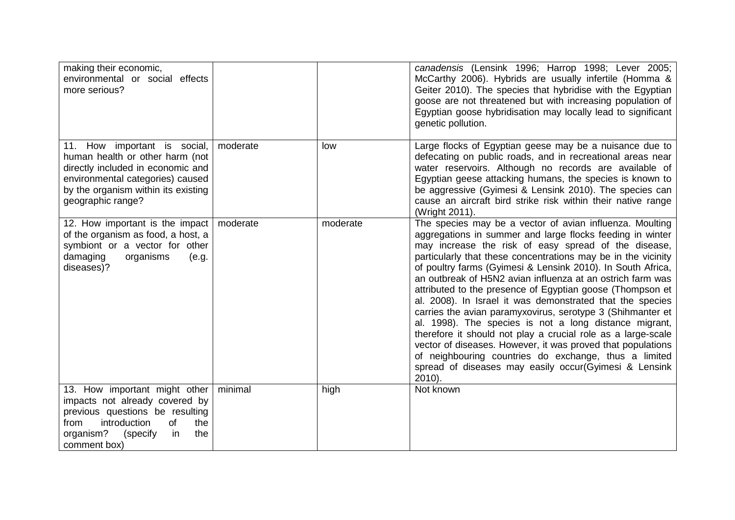| making their economic,<br>environmental or social effects<br>more serious?                                                                                                                              |          |          | canadensis (Lensink 1996; Harrop 1998; Lever 2005;<br>McCarthy 2006). Hybrids are usually infertile (Homma &<br>Geiter 2010). The species that hybridise with the Egyptian<br>goose are not threatened but with increasing population of<br>Egyptian goose hybridisation may locally lead to significant<br>genetic pollution.                                                                                                                                                                                                                                                                                                                                                                                                                                                                                                                                                              |
|---------------------------------------------------------------------------------------------------------------------------------------------------------------------------------------------------------|----------|----------|---------------------------------------------------------------------------------------------------------------------------------------------------------------------------------------------------------------------------------------------------------------------------------------------------------------------------------------------------------------------------------------------------------------------------------------------------------------------------------------------------------------------------------------------------------------------------------------------------------------------------------------------------------------------------------------------------------------------------------------------------------------------------------------------------------------------------------------------------------------------------------------------|
| 11. How important is social,<br>human health or other harm (not<br>directly included in economic and<br>environmental categories) caused<br>by the organism within its existing<br>geographic range?    | moderate | low      | Large flocks of Egyptian geese may be a nuisance due to<br>defecating on public roads, and in recreational areas near<br>water reservoirs. Although no records are available of<br>Egyptian geese attacking humans, the species is known to<br>be aggressive (Gyimesi & Lensink 2010). The species can<br>cause an aircraft bird strike risk within their native range<br>(Wright 2011).                                                                                                                                                                                                                                                                                                                                                                                                                                                                                                    |
| 12. How important is the impact   moderate<br>of the organism as food, a host, a<br>symbiont or a vector for other<br>damaging<br>organisms<br>(e.g.<br>diseases)?                                      |          | moderate | The species may be a vector of avian influenza. Moulting<br>aggregations in summer and large flocks feeding in winter<br>may increase the risk of easy spread of the disease,<br>particularly that these concentrations may be in the vicinity<br>of poultry farms (Gyimesi & Lensink 2010). In South Africa,<br>an outbreak of H5N2 avian influenza at an ostrich farm was<br>attributed to the presence of Egyptian goose (Thompson et<br>al. 2008). In Israel it was demonstrated that the species<br>carries the avian paramyxovirus, serotype 3 (Shihmanter et<br>al. 1998). The species is not a long distance migrant,<br>therefore it should not play a crucial role as a large-scale<br>vector of diseases. However, it was proved that populations<br>of neighbouring countries do exchange, thus a limited<br>spread of diseases may easily occur(Gyimesi & Lensink<br>$2010$ ). |
| 13. How important might other   minimal<br>impacts not already covered by<br>previous questions be resulting<br>introduction<br>0f<br>the<br>from<br>organism?<br>(specify<br>the<br>in<br>comment box) |          | high     | Not known                                                                                                                                                                                                                                                                                                                                                                                                                                                                                                                                                                                                                                                                                                                                                                                                                                                                                   |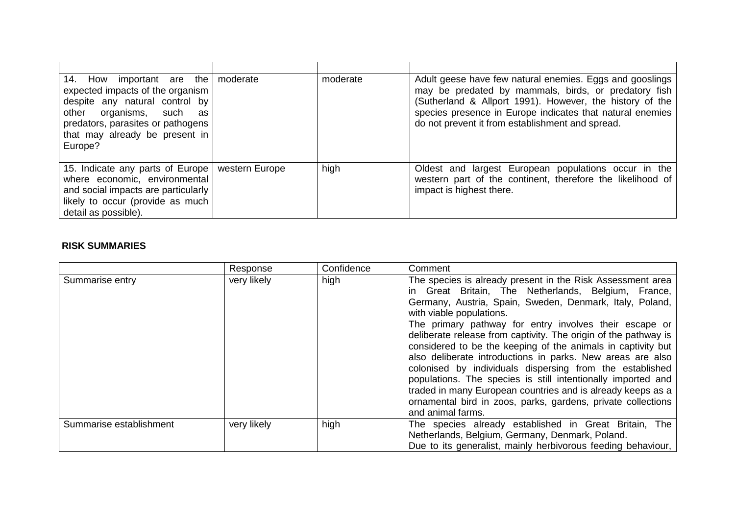| 14. How important are the   moderate<br>expected impacts of the organism<br>despite any natural control by<br>other organisms, such<br>as<br>predators, parasites or pathogens<br>that may already be present in<br>Europe? | moderate | Adult geese have few natural enemies. Eggs and gooslings<br>may be predated by mammals, birds, or predatory fish<br>(Sutherland & Allport 1991). However, the history of the<br>species presence in Europe indicates that natural enemies<br>do not prevent it from establishment and spread. |
|-----------------------------------------------------------------------------------------------------------------------------------------------------------------------------------------------------------------------------|----------|-----------------------------------------------------------------------------------------------------------------------------------------------------------------------------------------------------------------------------------------------------------------------------------------------|
| 15. Indicate any parts of Europe   western Europe<br>where economic, environmental<br>and social impacts are particularly<br>likely to occur (provide as much<br>detail as possible).                                       | high     | Oldest and largest European populations occur in the<br>western part of the continent, therefore the likelihood of<br>impact is highest there.                                                                                                                                                |

#### **RISK SUMMARIES**

|                         | Response    | Confidence | Comment                                                                                                                                                                                                                                                                                                                                                                                                                                                                                                                                                                                                                                                                                                                                              |
|-------------------------|-------------|------------|------------------------------------------------------------------------------------------------------------------------------------------------------------------------------------------------------------------------------------------------------------------------------------------------------------------------------------------------------------------------------------------------------------------------------------------------------------------------------------------------------------------------------------------------------------------------------------------------------------------------------------------------------------------------------------------------------------------------------------------------------|
| Summarise entry         | very likely | high       | The species is already present in the Risk Assessment area<br>in Great Britain, The Netherlands, Belgium, France,<br>Germany, Austria, Spain, Sweden, Denmark, Italy, Poland,<br>with viable populations.<br>The primary pathway for entry involves their escape or<br>deliberate release from captivity. The origin of the pathway is<br>considered to be the keeping of the animals in captivity but<br>also deliberate introductions in parks. New areas are also<br>colonised by individuals dispersing from the established<br>populations. The species is still intentionally imported and<br>traded in many European countries and is already keeps as a<br>ornamental bird in zoos, parks, gardens, private collections<br>and animal farms. |
| Summarise establishment | very likely | high       | The species already established in Great Britain, The<br>Netherlands, Belgium, Germany, Denmark, Poland.<br>Due to its generalist, mainly herbivorous feeding behaviour,                                                                                                                                                                                                                                                                                                                                                                                                                                                                                                                                                                             |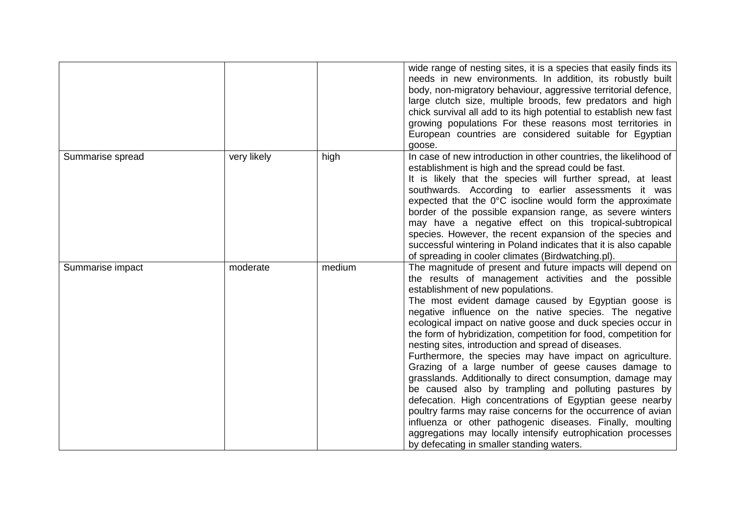|                  |             |        | wide range of nesting sites, it is a species that easily finds its<br>needs in new environments. In addition, its robustly built<br>body, non-migratory behaviour, aggressive territorial defence,<br>large clutch size, multiple broods, few predators and high<br>chick survival all add to its high potential to establish new fast<br>growing populations For these reasons most territories in<br>European countries are considered suitable for Egyptian<br>goose.                                                                                                                                                                                                                                                                                                                                                                                                                                                                                                                                           |
|------------------|-------------|--------|--------------------------------------------------------------------------------------------------------------------------------------------------------------------------------------------------------------------------------------------------------------------------------------------------------------------------------------------------------------------------------------------------------------------------------------------------------------------------------------------------------------------------------------------------------------------------------------------------------------------------------------------------------------------------------------------------------------------------------------------------------------------------------------------------------------------------------------------------------------------------------------------------------------------------------------------------------------------------------------------------------------------|
| Summarise spread | very likely | high   | In case of new introduction in other countries, the likelihood of<br>establishment is high and the spread could be fast.<br>It is likely that the species will further spread, at least<br>southwards. According to earlier assessments it was<br>expected that the $0^{\circ}$ C isocline would form the approximate<br>border of the possible expansion range, as severe winters<br>may have a negative effect on this tropical-subtropical<br>species. However, the recent expansion of the species and<br>successful wintering in Poland indicates that it is also capable<br>of spreading in cooler climates (Birdwatching.pl).                                                                                                                                                                                                                                                                                                                                                                               |
| Summarise impact | moderate    | medium | The magnitude of present and future impacts will depend on<br>the results of management activities and the possible<br>establishment of new populations.<br>The most evident damage caused by Egyptian goose is<br>negative influence on the native species. The negative<br>ecological impact on native goose and duck species occur in<br>the form of hybridization, competition for food, competition for<br>nesting sites, introduction and spread of diseases.<br>Furthermore, the species may have impact on agriculture.<br>Grazing of a large number of geese causes damage to<br>grasslands. Additionally to direct consumption, damage may<br>be caused also by trampling and polluting pastures by<br>defecation. High concentrations of Egyptian geese nearby<br>poultry farms may raise concerns for the occurrence of avian<br>influenza or other pathogenic diseases. Finally, moulting<br>aggregations may locally intensify eutrophication processes<br>by defecating in smaller standing waters. |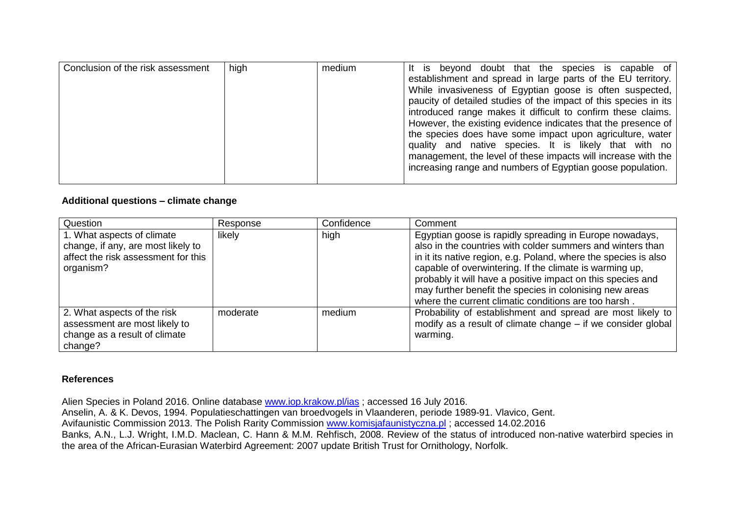| Conclusion of the risk assessment | high | medium | It is beyond doubt that the species is capable of<br>establishment and spread in large parts of the EU territory.<br>While invasiveness of Egyptian goose is often suspected,<br>paucity of detailed studies of the impact of this species in its<br>introduced range makes it difficult to confirm these claims.<br>However, the existing evidence indicates that the presence of<br>the species does have some impact upon agriculture, water<br>quality and native species. It is likely that with no<br>management, the level of these impacts will increase with the<br>increasing range and numbers of Egyptian goose population. |
|-----------------------------------|------|--------|-----------------------------------------------------------------------------------------------------------------------------------------------------------------------------------------------------------------------------------------------------------------------------------------------------------------------------------------------------------------------------------------------------------------------------------------------------------------------------------------------------------------------------------------------------------------------------------------------------------------------------------------|
|-----------------------------------|------|--------|-----------------------------------------------------------------------------------------------------------------------------------------------------------------------------------------------------------------------------------------------------------------------------------------------------------------------------------------------------------------------------------------------------------------------------------------------------------------------------------------------------------------------------------------------------------------------------------------------------------------------------------------|

#### **Additional questions – climate change**

| Question                                                                                                             | Response | Confidence | Comment                                                                                                                                                                                                                                                                                                                                                                                                                               |
|----------------------------------------------------------------------------------------------------------------------|----------|------------|---------------------------------------------------------------------------------------------------------------------------------------------------------------------------------------------------------------------------------------------------------------------------------------------------------------------------------------------------------------------------------------------------------------------------------------|
| 1. What aspects of climate<br>change, if any, are most likely to<br>affect the risk assessment for this<br>organism? | likely   | high       | Egyptian goose is rapidly spreading in Europe nowadays,<br>also in the countries with colder summers and winters than<br>in it its native region, e.g. Poland, where the species is also<br>capable of overwintering. If the climate is warming up,<br>probably it will have a positive impact on this species and<br>may further benefit the species in colonising new areas<br>where the current climatic conditions are too harsh. |
| 2. What aspects of the risk<br>assessment are most likely to<br>change as a result of climate<br>change?             | moderate | medium     | Probability of establishment and spread are most likely to<br>modify as a result of climate change – if we consider global<br>warming.                                                                                                                                                                                                                                                                                                |

#### **References**

Alien Species in Poland 2016. Online database [www.iop.krakow.pl/ias](http://www.iop.krakow.pl/ias) ; accessed 16 July 2016. Anselin, A. & K. Devos, 1994. Populatieschattingen van broedvogels in Vlaanderen, periode 1989-91. Vlavico, Gent. Avifaunistic Commission 2013. The Polish Rarity Commission [www.komisjafaunistyczna.pl](http://www.komisjafaunistyczna.pl/) ; accessed 14.02.2016 Banks, A.N., L.J. Wright, I.M.D. Maclean, C. Hann & M.M. Rehfisch, 2008. Review of the status of introduced non-native waterbird species in the area of the African-Eurasian Waterbird Agreement: 2007 update British Trust for Ornithology, Norfolk.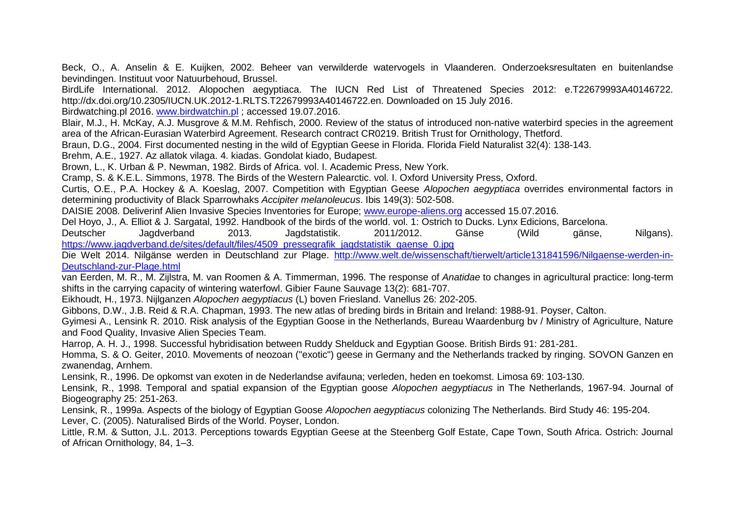Beck, O., A. Anselin & E. Kuijken, 2002. Beheer van verwilderde watervogels in Vlaanderen. Onderzoeksresultaten en buitenlandse bevindingen. Instituut voor Natuurbehoud, Brussel.

BirdLife International. 2012. Alopochen aegyptiaca. The IUCN Red List of Threatened Species 2012: e.T22679993A40146722. http://dx.doi.org/10.2305/IUCN.UK.2012-1.RLTS.T22679993A40146722.en. Downloaded on 15 July 2016.

Birdwatching.pl 2016. [www.birdwatchin.pl](http://www.birdwatchin.pl/) ; accessed 19.07.2016.

Blair, M.J., H. McKay, A.J. Musgrove & M.M. Rehfisch, 2000. Review of the status of introduced non-native waterbird species in the agreement area of the African-Eurasian Waterbird Agreement. Research contract CR0219. British Trust for Ornithology, Thetford.

Braun, D.G., 2004. First documented nesting in the wild of Egyptian Geese in Florida. Florida Field Naturalist 32(4): 138-143.

Brehm, A.E., 1927. Az allatok vilaga. 4. kiadas. Gondolat kiado, Budapest.

Brown, L., K. Urban & P. Newman, 1982. Birds of Africa. vol. I. Academic Press, New York.

Cramp, S. & K.E.L. Simmons, 1978. The Birds of the Western Palearctic. vol. I. Oxford University Press, Oxford.

Curtis, O.E., P.A. Hockey & A. Koeslag, 2007. Competition with Egyptian Geese *Alopochen aegyptiaca* overrides environmental factors in determining productivity of Black Sparrowhaks *Accipiter melanoleucus*. Ibis 149(3): 502-508.

DAISIE 2008. Deliverinf Alien Invasive Species Inventories for Europe; [www.europe-aliens.org](http://www.europe-aliens.org/) accessed 15.07.2016.

Del Hoyo, J., A. Elliot & J. Sargatal, 1992. Handbook of the birds of the world. vol. 1: Ostrich to Ducks. Lynx Edicions, Barcelona.

Deutscher Jagdverband 2013. Jagdstatistik. 2011/2012. Gänse (Wild gänse, Nilgans). [https://www.jagdverband.de/sites/default/files/4509\\_pressegrafik\\_jagdstatistik\\_gaense\\_0.jpg](https://www.jagdverband.de/sites/default/files/4509_pressegrafik_jagdstatistik_gaense_0.jpg)

Die Welt 2014. Nilgänse werden in Deutschland zur Plage. [http://www.welt.de/wissenschaft/tierwelt/article131841596/Nilgaense-werden-in-](http://www.welt.de/wissenschaft/tierwelt/article131841596/Nilgaense-werden-in-Deutschland-zur-Plage.html)[Deutschland-zur-Plage.html](http://www.welt.de/wissenschaft/tierwelt/article131841596/Nilgaense-werden-in-Deutschland-zur-Plage.html)

van Eerden, M. R., M. Zijlstra, M. van Roomen & A. Timmerman, 1996. The response of *Anatidae* to changes in agricultural practice: long-term shifts in the carrying capacity of wintering waterfowl. Gibier Faune Sauvage 13(2): 681-707.

Eikhoudt, H., 1973. Nijlganzen *Alopochen aegyptiacus* (L) boven Friesland. Vanellus 26: 202-205.

Gibbons, D.W., J.B. Reid & R.A. Chapman, 1993. The new atlas of breding birds in Britain and Ireland: 1988-91. Poyser, Calton.

Gyimesi A., Lensink R. 2010. Risk analysis of the Egyptian Goose in the Netherlands, Bureau Waardenburg bv / Ministry of Agriculture, Nature and Food Quality, Invasive Alien Species Team.

Harrop, A. H. J., 1998. Successful hybridisation between Ruddy Shelduck and Egyptian Goose. British Birds 91: 281-281.

Homma, S. & O. Geiter, 2010. Movements of neozoan ("exotic") geese in Germany and the Netherlands tracked by ringing. SOVON Ganzen en zwanendag, Arnhem.

Lensink, R., 1996. De opkomst van exoten in de Nederlandse avifauna; verleden, heden en toekomst. Limosa 69: 103-130.

Lensink, R., 1998. Temporal and spatial expansion of the Egyptian goose *Alopochen aegyptiacus* in The Netherlands, 1967-94. Journal of Biogeography 25: 251-263.

Lensink, R., 1999a. Aspects of the biology of Egyptian Goose *Alopochen aegyptiacus* colonizing The Netherlands. Bird Study 46: 195-204. Lever, C. (2005). Naturalised Birds of the World. Poyser, London.

Little, R.M. & Sutton, J.L. 2013. Perceptions towards Egyptian Geese at the Steenberg Golf Estate, Cape Town, South Africa. Ostrich: Journal of African Ornithology, 84, 1–3.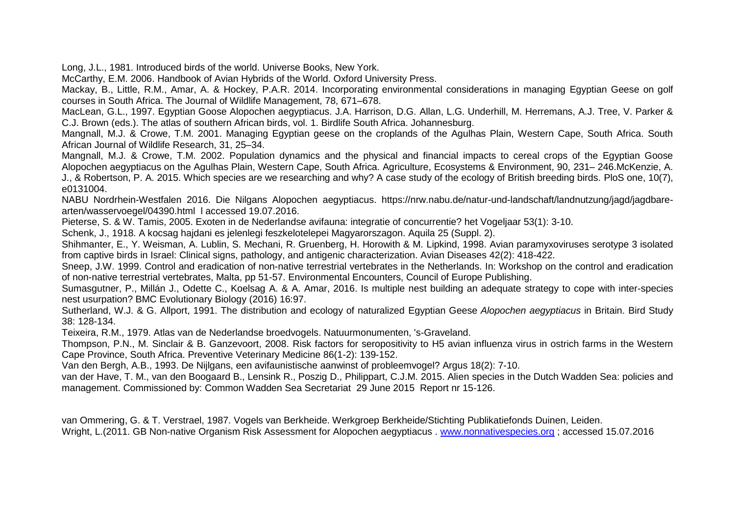Long, J.L., 1981. Introduced birds of the world. Universe Books, New York.

McCarthy, E.M. 2006. Handbook of Avian Hybrids of the World. Oxford University Press.

Mackay, B., Little, R.M., Amar, A. & Hockey, P.A.R. 2014. Incorporating environmental considerations in managing Egyptian Geese on golf courses in South Africa. The Journal of Wildlife Management, 78, 671–678.

MacLean, G.L., 1997. Egyptian Goose Alopochen aegyptiacus. J.A. Harrison, D.G. Allan, L.G. Underhill, M. Herremans, A.J. Tree, V. Parker & C.J. Brown (eds.). The atlas of southern African birds, vol. 1. Birdlife South Africa. Johannesburg.

Mangnall, M.J. & Crowe, T.M. 2001. Managing Egyptian geese on the croplands of the Agulhas Plain, Western Cape, South Africa. South African Journal of Wildlife Research, 31, 25–34.

Mangnall, M.J. & Crowe, T.M. 2002. Population dynamics and the physical and financial impacts to cereal crops of the Egyptian Goose Alopochen aegyptiacus on the Agulhas Plain, Western Cape, South Africa. Agriculture, Ecosystems & Environment, 90, 231– 246.McKenzie, A. J., & Robertson, P. A. 2015. Which species are we researching and why? A case study of the ecology of British breeding birds. PloS one, 10(7),

e0131004.

NABU Nordrhein-Westfalen 2016. Die Nilgans Alopochen aegyptiacus. https://nrw.nabu.de/natur-und-landschaft/landnutzung/jagd/jagdbarearten/wasservoegel/04390.html l accessed 19.07.2016.

Pieterse, S. & W. Tamis, 2005. Exoten in de Nederlandse avifauna: integratie of concurrentie? het Vogeljaar 53(1): 3-10.

Schenk, J., 1918. A kocsag hajdani es jelenlegi feszkelotelepei Magyarorszagon. Aquila 25 (Suppl. 2).

Shihmanter, E., Y. Weisman, A. Lublin, S. Mechani, R. Gruenberg, H. Horowith & M. Lipkind, 1998. Avian paramyxoviruses serotype 3 isolated from captive birds in Israel: Clinical signs, pathology, and antigenic characterization. Avian Diseases 42(2): 418-422.

Sneep, J.W. 1999. Control and eradication of non-native terrestrial vertebrates in the Netherlands. In: Workshop on the control and eradication of non-native terrestrial vertebrates, Malta, pp 51-57. Environmental Encounters, Council of Europe Publishing.

Sumasgutner, P., Millán J., Odette C., Koelsag A. & A. Amar, 2016. Is multiple nest building an adequate strategy to cope with inter-species nest usurpation? BMC Evolutionary Biology (2016) 16:97.

Sutherland, W.J. & G. Allport, 1991. The distribution and ecology of naturalized Egyptian Geese *Alopochen aegyptiacus* in Britain. Bird Study 38: 128-134.

Teixeira, R.M., 1979. Atlas van de Nederlandse broedvogels. Natuurmonumenten, 's-Graveland.

Thompson, P.N., M. Sinclair & B. Ganzevoort, 2008. Risk factors for seropositivity to H5 avian influenza virus in ostrich farms in the Western Cape Province, South Africa. Preventive Veterinary Medicine 86(1-2): 139-152.

Van den Bergh, A.B., 1993. De Nijlgans, een avifaunistische aanwinst of probleemvogel? Argus 18(2): 7-10.

van der Have, T. M., van den Boogaard B., Lensink R., Poszig D., Philippart, C.J.M. 2015. Alien species in the Dutch Wadden Sea: policies and management. Commissioned by: Common Wadden Sea Secretariat 29 June 2015 Report nr 15-126.

van Ommering, G. & T. Verstrael, 1987. Vogels van Berkheide. Werkgroep Berkheide/Stichting Publikatiefonds Duinen, Leiden. Wright, L.(2011. GB Non-native Organism Risk Assessment for Alopochen aegyptiacus . [www.nonnativespecies.org](http://www.nonnativespecies.org/) : accessed 15.07.2016